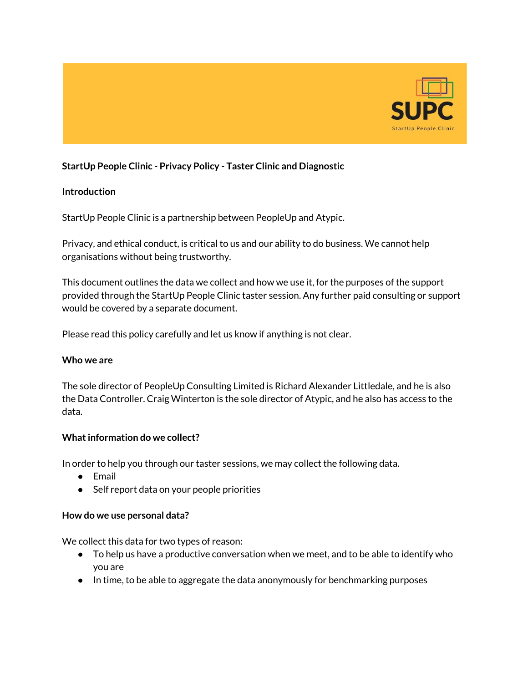

# **StartUp People Clinic - Privacy Policy - Taster Clinic and Diagnostic**

## **Introduction**

StartUp People Clinic is a partnership between PeopleUp and Atypic.

Privacy, and ethical conduct, is critical to us and our ability to do business. We cannot help organisations without being trustworthy.

This document outlines the data we collect and how we use it, for the purposes of the support provided through the StartUp People Clinic taster session. Any further paid consulting or support would be covered by a separate document.

Please read this policy carefully and let us know if anything is not clear.

### **Who we are**

The sole director of PeopleUp Consulting Limited is Richard Alexander Littledale, and he is also the Data Controller. Craig Winterton is the sole director of Atypic, and he also has access to the data.

### **What information do we collect?**

In order to help you through our taster sessions, we may collect the following data.

- Email
- Self report data on your people priorities

### **How do we use personal data?**

We collect this data for two types of reason:

- To help us have a productive conversation when we meet, and to be able to identify who you are
- In time, to be able to aggregate the data anonymously for benchmarking purposes